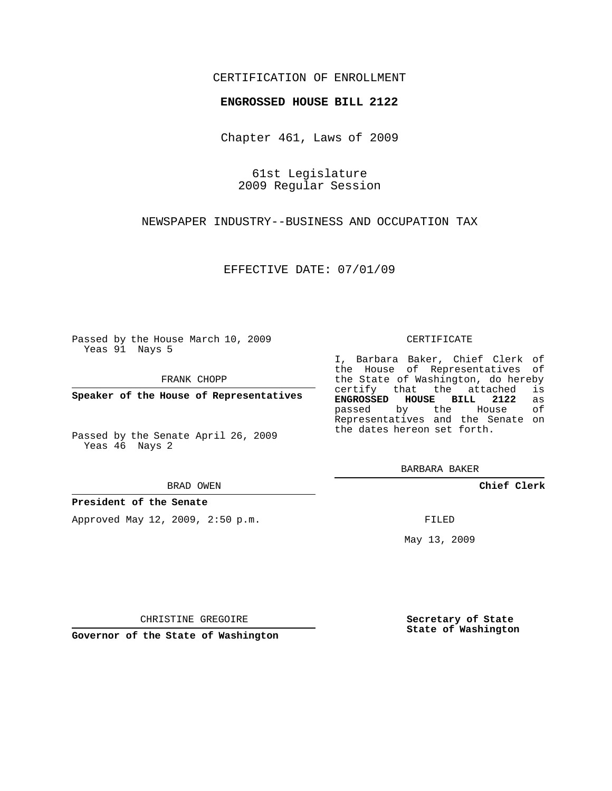### CERTIFICATION OF ENROLLMENT

#### **ENGROSSED HOUSE BILL 2122**

Chapter 461, Laws of 2009

61st Legislature 2009 Regular Session

NEWSPAPER INDUSTRY--BUSINESS AND OCCUPATION TAX

EFFECTIVE DATE: 07/01/09

Passed by the House March 10, 2009 Yeas 91 Nays 5

FRANK CHOPP

**Speaker of the House of Representatives**

Passed by the Senate April 26, 2009 Yeas 46 Nays 2

#### BRAD OWEN

**President of the Senate**

Approved May 12, 2009, 2:50 p.m.

#### CERTIFICATE

I, Barbara Baker, Chief Clerk of the House of Representatives of the State of Washington, do hereby<br>certify that the attached is certify that the attached **ENGROSSED HOUSE BILL 2122** as passed by the House Representatives and the Senate on the dates hereon set forth.

BARBARA BAKER

**Chief Clerk**

FILED

May 13, 2009

**Secretary of State State of Washington**

CHRISTINE GREGOIRE

**Governor of the State of Washington**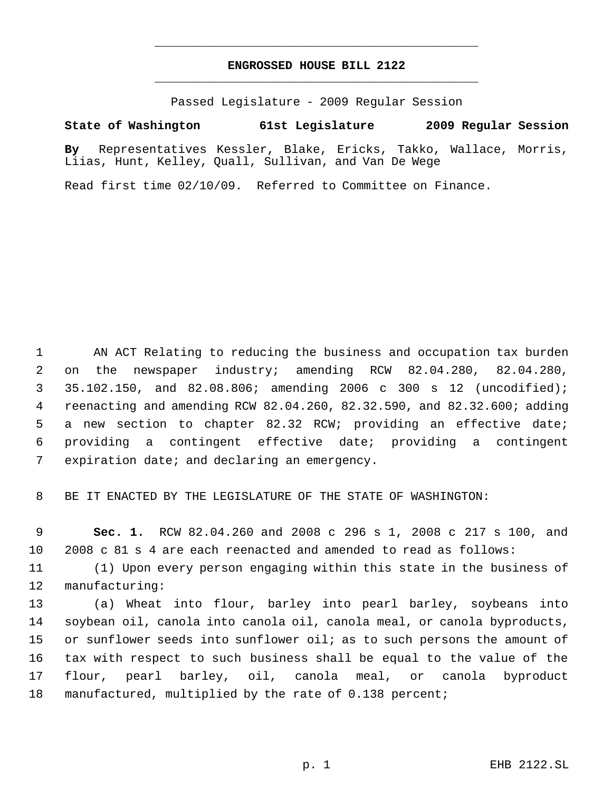## **ENGROSSED HOUSE BILL 2122** \_\_\_\_\_\_\_\_\_\_\_\_\_\_\_\_\_\_\_\_\_\_\_\_\_\_\_\_\_\_\_\_\_\_\_\_\_\_\_\_\_\_\_\_\_

\_\_\_\_\_\_\_\_\_\_\_\_\_\_\_\_\_\_\_\_\_\_\_\_\_\_\_\_\_\_\_\_\_\_\_\_\_\_\_\_\_\_\_\_\_

Passed Legislature - 2009 Regular Session

## **State of Washington 61st Legislature 2009 Regular Session**

**By** Representatives Kessler, Blake, Ericks, Takko, Wallace, Morris, Liias, Hunt, Kelley, Quall, Sullivan, and Van De Wege

Read first time 02/10/09. Referred to Committee on Finance.

 AN ACT Relating to reducing the business and occupation tax burden on the newspaper industry; amending RCW 82.04.280, 82.04.280, 35.102.150, and 82.08.806; amending 2006 c 300 s 12 (uncodified); reenacting and amending RCW 82.04.260, 82.32.590, and 82.32.600; adding a new section to chapter 82.32 RCW; providing an effective date; providing a contingent effective date; providing a contingent expiration date; and declaring an emergency.

BE IT ENACTED BY THE LEGISLATURE OF THE STATE OF WASHINGTON:

 **Sec. 1.** RCW 82.04.260 and 2008 c 296 s 1, 2008 c 217 s 100, and 2008 c 81 s 4 are each reenacted and amended to read as follows:

 (1) Upon every person engaging within this state in the business of manufacturing:

 (a) Wheat into flour, barley into pearl barley, soybeans into soybean oil, canola into canola oil, canola meal, or canola byproducts, 15 or sunflower seeds into sunflower oil; as to such persons the amount of tax with respect to such business shall be equal to the value of the flour, pearl barley, oil, canola meal, or canola byproduct manufactured, multiplied by the rate of 0.138 percent;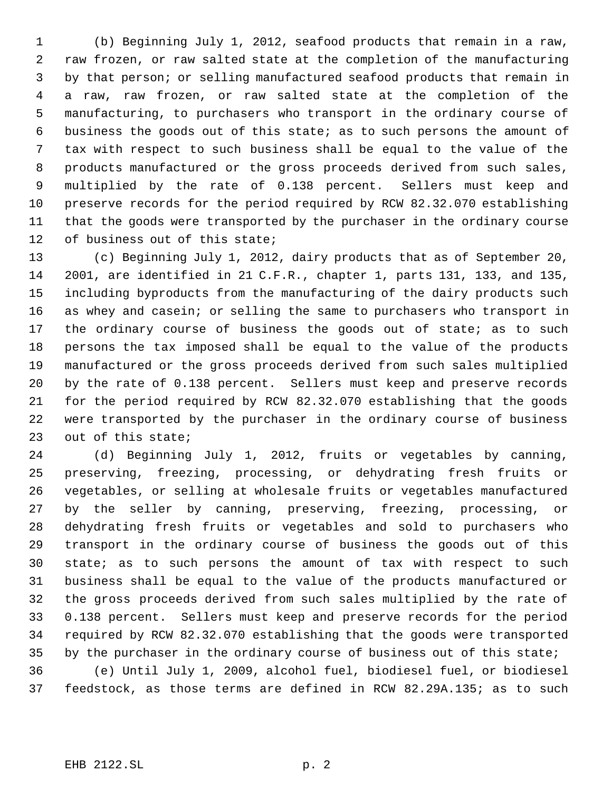(b) Beginning July 1, 2012, seafood products that remain in a raw, raw frozen, or raw salted state at the completion of the manufacturing by that person; or selling manufactured seafood products that remain in a raw, raw frozen, or raw salted state at the completion of the manufacturing, to purchasers who transport in the ordinary course of business the goods out of this state; as to such persons the amount of tax with respect to such business shall be equal to the value of the products manufactured or the gross proceeds derived from such sales, multiplied by the rate of 0.138 percent. Sellers must keep and preserve records for the period required by RCW 82.32.070 establishing that the goods were transported by the purchaser in the ordinary course of business out of this state;

 (c) Beginning July 1, 2012, dairy products that as of September 20, 2001, are identified in 21 C.F.R., chapter 1, parts 131, 133, and 135, including byproducts from the manufacturing of the dairy products such as whey and casein; or selling the same to purchasers who transport in 17 the ordinary course of business the goods out of state; as to such persons the tax imposed shall be equal to the value of the products manufactured or the gross proceeds derived from such sales multiplied by the rate of 0.138 percent. Sellers must keep and preserve records for the period required by RCW 82.32.070 establishing that the goods were transported by the purchaser in the ordinary course of business out of this state;

 (d) Beginning July 1, 2012, fruits or vegetables by canning, preserving, freezing, processing, or dehydrating fresh fruits or vegetables, or selling at wholesale fruits or vegetables manufactured by the seller by canning, preserving, freezing, processing, or dehydrating fresh fruits or vegetables and sold to purchasers who transport in the ordinary course of business the goods out of this state; as to such persons the amount of tax with respect to such business shall be equal to the value of the products manufactured or the gross proceeds derived from such sales multiplied by the rate of 0.138 percent. Sellers must keep and preserve records for the period required by RCW 82.32.070 establishing that the goods were transported 35 by the purchaser in the ordinary course of business out of this state;

 (e) Until July 1, 2009, alcohol fuel, biodiesel fuel, or biodiesel feedstock, as those terms are defined in RCW 82.29A.135; as to such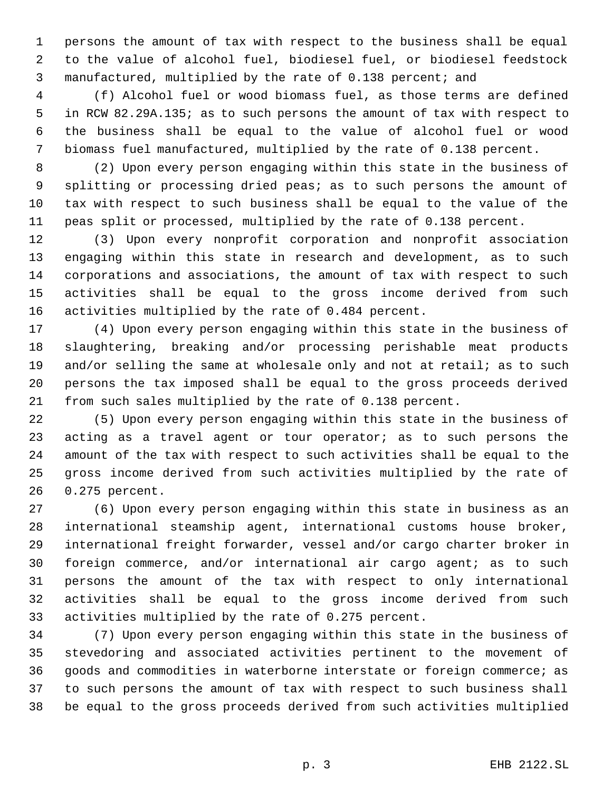persons the amount of tax with respect to the business shall be equal to the value of alcohol fuel, biodiesel fuel, or biodiesel feedstock manufactured, multiplied by the rate of 0.138 percent; and

 (f) Alcohol fuel or wood biomass fuel, as those terms are defined in RCW 82.29A.135; as to such persons the amount of tax with respect to the business shall be equal to the value of alcohol fuel or wood biomass fuel manufactured, multiplied by the rate of 0.138 percent.

 (2) Upon every person engaging within this state in the business of splitting or processing dried peas; as to such persons the amount of tax with respect to such business shall be equal to the value of the peas split or processed, multiplied by the rate of 0.138 percent.

 (3) Upon every nonprofit corporation and nonprofit association engaging within this state in research and development, as to such corporations and associations, the amount of tax with respect to such activities shall be equal to the gross income derived from such activities multiplied by the rate of 0.484 percent.

 (4) Upon every person engaging within this state in the business of slaughtering, breaking and/or processing perishable meat products 19 and/or selling the same at wholesale only and not at retail; as to such persons the tax imposed shall be equal to the gross proceeds derived from such sales multiplied by the rate of 0.138 percent.

 (5) Upon every person engaging within this state in the business of acting as a travel agent or tour operator; as to such persons the amount of the tax with respect to such activities shall be equal to the gross income derived from such activities multiplied by the rate of 0.275 percent.

 (6) Upon every person engaging within this state in business as an international steamship agent, international customs house broker, international freight forwarder, vessel and/or cargo charter broker in foreign commerce, and/or international air cargo agent; as to such persons the amount of the tax with respect to only international activities shall be equal to the gross income derived from such activities multiplied by the rate of 0.275 percent.

 (7) Upon every person engaging within this state in the business of stevedoring and associated activities pertinent to the movement of goods and commodities in waterborne interstate or foreign commerce; as to such persons the amount of tax with respect to such business shall be equal to the gross proceeds derived from such activities multiplied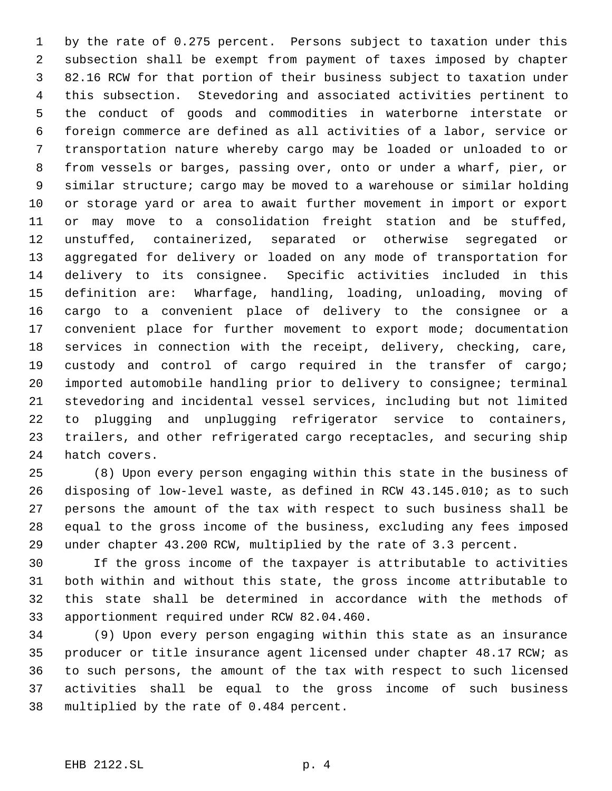by the rate of 0.275 percent. Persons subject to taxation under this subsection shall be exempt from payment of taxes imposed by chapter 82.16 RCW for that portion of their business subject to taxation under this subsection. Stevedoring and associated activities pertinent to the conduct of goods and commodities in waterborne interstate or foreign commerce are defined as all activities of a labor, service or transportation nature whereby cargo may be loaded or unloaded to or from vessels or barges, passing over, onto or under a wharf, pier, or similar structure; cargo may be moved to a warehouse or similar holding or storage yard or area to await further movement in import or export or may move to a consolidation freight station and be stuffed, unstuffed, containerized, separated or otherwise segregated or aggregated for delivery or loaded on any mode of transportation for delivery to its consignee. Specific activities included in this definition are: Wharfage, handling, loading, unloading, moving of cargo to a convenient place of delivery to the consignee or a convenient place for further movement to export mode; documentation services in connection with the receipt, delivery, checking, care, custody and control of cargo required in the transfer of cargo; imported automobile handling prior to delivery to consignee; terminal stevedoring and incidental vessel services, including but not limited to plugging and unplugging refrigerator service to containers, trailers, and other refrigerated cargo receptacles, and securing ship hatch covers.

 (8) Upon every person engaging within this state in the business of disposing of low-level waste, as defined in RCW 43.145.010; as to such persons the amount of the tax with respect to such business shall be equal to the gross income of the business, excluding any fees imposed under chapter 43.200 RCW, multiplied by the rate of 3.3 percent.

 If the gross income of the taxpayer is attributable to activities both within and without this state, the gross income attributable to this state shall be determined in accordance with the methods of apportionment required under RCW 82.04.460.

 (9) Upon every person engaging within this state as an insurance producer or title insurance agent licensed under chapter 48.17 RCW; as to such persons, the amount of the tax with respect to such licensed activities shall be equal to the gross income of such business multiplied by the rate of 0.484 percent.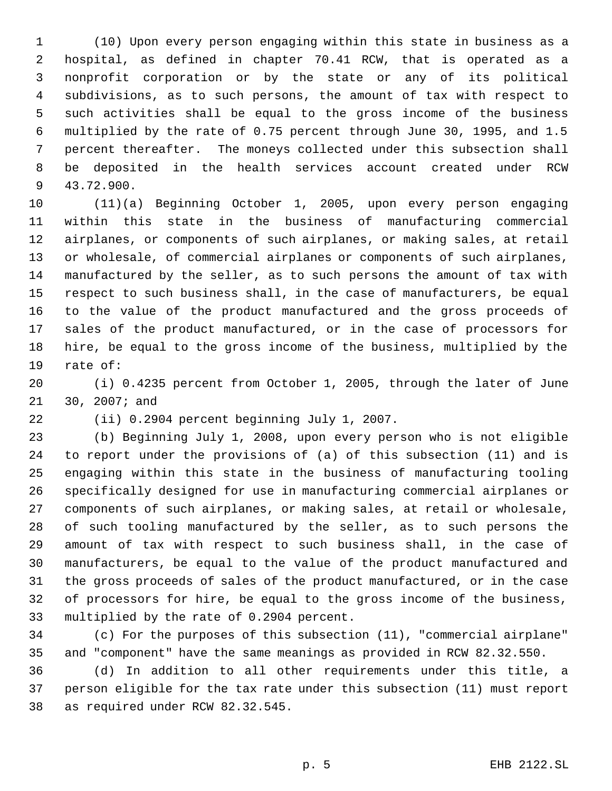(10) Upon every person engaging within this state in business as a hospital, as defined in chapter 70.41 RCW, that is operated as a nonprofit corporation or by the state or any of its political subdivisions, as to such persons, the amount of tax with respect to such activities shall be equal to the gross income of the business multiplied by the rate of 0.75 percent through June 30, 1995, and 1.5 percent thereafter. The moneys collected under this subsection shall be deposited in the health services account created under RCW 43.72.900.

 (11)(a) Beginning October 1, 2005, upon every person engaging within this state in the business of manufacturing commercial airplanes, or components of such airplanes, or making sales, at retail or wholesale, of commercial airplanes or components of such airplanes, manufactured by the seller, as to such persons the amount of tax with respect to such business shall, in the case of manufacturers, be equal to the value of the product manufactured and the gross proceeds of sales of the product manufactured, or in the case of processors for hire, be equal to the gross income of the business, multiplied by the rate of:

 (i) 0.4235 percent from October 1, 2005, through the later of June 30, 2007; and

(ii) 0.2904 percent beginning July 1, 2007.

 (b) Beginning July 1, 2008, upon every person who is not eligible to report under the provisions of (a) of this subsection (11) and is engaging within this state in the business of manufacturing tooling specifically designed for use in manufacturing commercial airplanes or components of such airplanes, or making sales, at retail or wholesale, of such tooling manufactured by the seller, as to such persons the amount of tax with respect to such business shall, in the case of manufacturers, be equal to the value of the product manufactured and the gross proceeds of sales of the product manufactured, or in the case of processors for hire, be equal to the gross income of the business, multiplied by the rate of 0.2904 percent.

 (c) For the purposes of this subsection (11), "commercial airplane" and "component" have the same meanings as provided in RCW 82.32.550.

 (d) In addition to all other requirements under this title, a person eligible for the tax rate under this subsection (11) must report as required under RCW 82.32.545.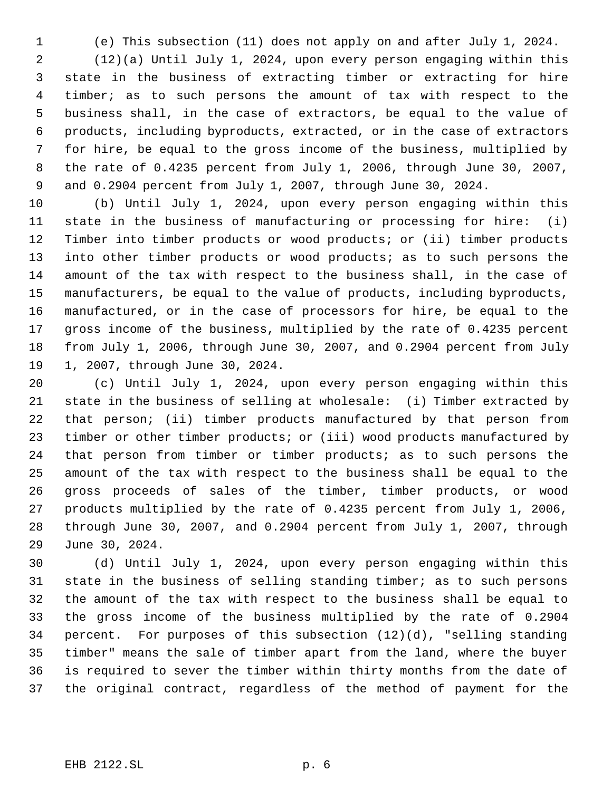(e) This subsection (11) does not apply on and after July 1, 2024. (12)(a) Until July 1, 2024, upon every person engaging within this state in the business of extracting timber or extracting for hire timber; as to such persons the amount of tax with respect to the business shall, in the case of extractors, be equal to the value of products, including byproducts, extracted, or in the case of extractors for hire, be equal to the gross income of the business, multiplied by the rate of 0.4235 percent from July 1, 2006, through June 30, 2007,

 and 0.2904 percent from July 1, 2007, through June 30, 2024. (b) Until July 1, 2024, upon every person engaging within this state in the business of manufacturing or processing for hire: (i) Timber into timber products or wood products; or (ii) timber products 13 into other timber products or wood products; as to such persons the amount of the tax with respect to the business shall, in the case of manufacturers, be equal to the value of products, including byproducts, manufactured, or in the case of processors for hire, be equal to the gross income of the business, multiplied by the rate of 0.4235 percent from July 1, 2006, through June 30, 2007, and 0.2904 percent from July 1, 2007, through June 30, 2024.

 (c) Until July 1, 2024, upon every person engaging within this state in the business of selling at wholesale: (i) Timber extracted by that person; (ii) timber products manufactured by that person from timber or other timber products; or (iii) wood products manufactured by that person from timber or timber products; as to such persons the amount of the tax with respect to the business shall be equal to the gross proceeds of sales of the timber, timber products, or wood products multiplied by the rate of 0.4235 percent from July 1, 2006, through June 30, 2007, and 0.2904 percent from July 1, 2007, through June 30, 2024.

 (d) Until July 1, 2024, upon every person engaging within this state in the business of selling standing timber; as to such persons the amount of the tax with respect to the business shall be equal to the gross income of the business multiplied by the rate of 0.2904 percent. For purposes of this subsection (12)(d), "selling standing timber" means the sale of timber apart from the land, where the buyer is required to sever the timber within thirty months from the date of the original contract, regardless of the method of payment for the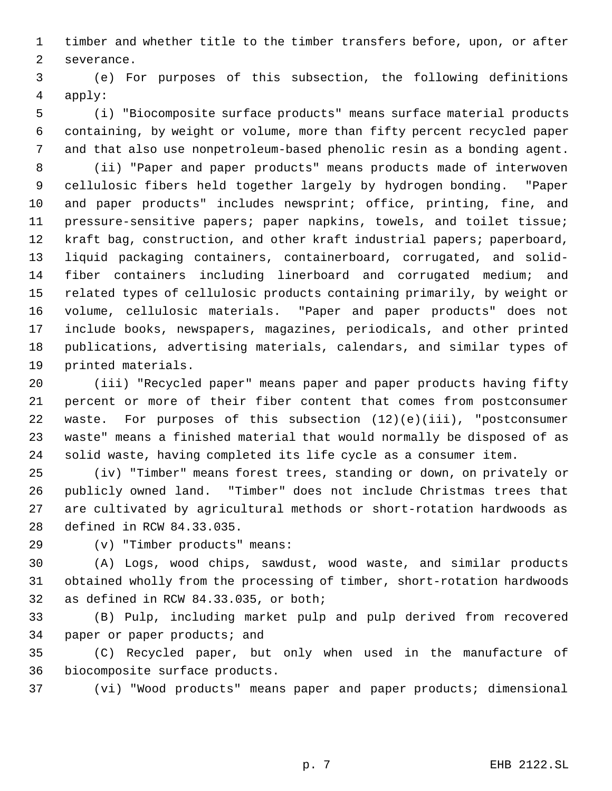timber and whether title to the timber transfers before, upon, or after severance.

 (e) For purposes of this subsection, the following definitions apply:

 (i) "Biocomposite surface products" means surface material products containing, by weight or volume, more than fifty percent recycled paper and that also use nonpetroleum-based phenolic resin as a bonding agent.

 (ii) "Paper and paper products" means products made of interwoven cellulosic fibers held together largely by hydrogen bonding. "Paper and paper products" includes newsprint; office, printing, fine, and pressure-sensitive papers; paper napkins, towels, and toilet tissue; kraft bag, construction, and other kraft industrial papers; paperboard, liquid packaging containers, containerboard, corrugated, and solid- fiber containers including linerboard and corrugated medium; and related types of cellulosic products containing primarily, by weight or volume, cellulosic materials. "Paper and paper products" does not include books, newspapers, magazines, periodicals, and other printed publications, advertising materials, calendars, and similar types of printed materials.

 (iii) "Recycled paper" means paper and paper products having fifty percent or more of their fiber content that comes from postconsumer waste. For purposes of this subsection (12)(e)(iii), "postconsumer waste" means a finished material that would normally be disposed of as solid waste, having completed its life cycle as a consumer item.

 (iv) "Timber" means forest trees, standing or down, on privately or publicly owned land. "Timber" does not include Christmas trees that are cultivated by agricultural methods or short-rotation hardwoods as defined in RCW 84.33.035.

(v) "Timber products" means:

 (A) Logs, wood chips, sawdust, wood waste, and similar products obtained wholly from the processing of timber, short-rotation hardwoods as defined in RCW 84.33.035, or both;

 (B) Pulp, including market pulp and pulp derived from recovered paper or paper products; and

 (C) Recycled paper, but only when used in the manufacture of biocomposite surface products.

(vi) "Wood products" means paper and paper products; dimensional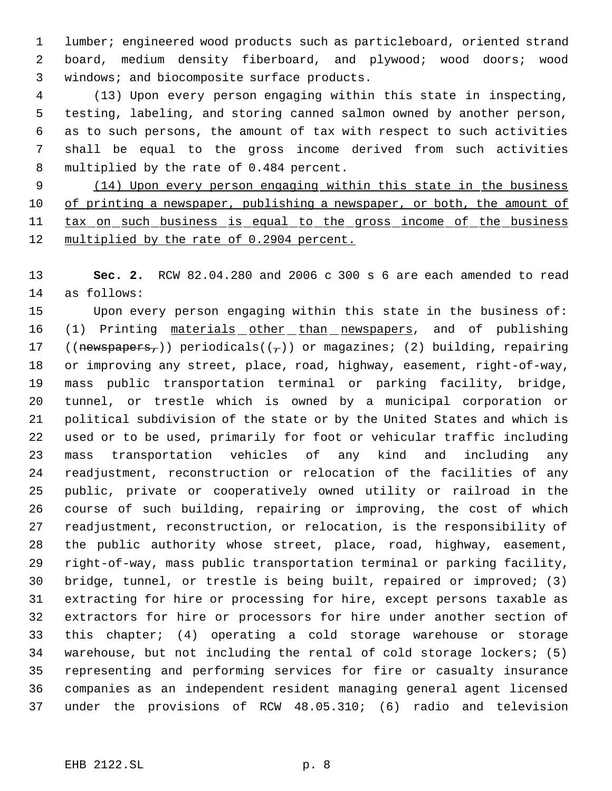lumber; engineered wood products such as particleboard, oriented strand board, medium density fiberboard, and plywood; wood doors; wood windows; and biocomposite surface products.

 (13) Upon every person engaging within this state in inspecting, testing, labeling, and storing canned salmon owned by another person, as to such persons, the amount of tax with respect to such activities shall be equal to the gross income derived from such activities multiplied by the rate of 0.484 percent.

9 (14) Upon every person engaging within this state in the business 10 of printing a newspaper, publishing a newspaper, or both, the amount of 11 tax on such business is equal to the gross income of the business 12 multiplied by the rate of 0.2904 percent.

 **Sec. 2.** RCW 82.04.280 and 2006 c 300 s 6 are each amended to read as follows:

 Upon every person engaging within this state in the business of: 16 (1) Printing materials other than newspapers, and of publishing 17 ((newspapers,)) periodicals( $(\tau)$ ) or magazines; (2) building, repairing or improving any street, place, road, highway, easement, right-of-way, mass public transportation terminal or parking facility, bridge, tunnel, or trestle which is owned by a municipal corporation or political subdivision of the state or by the United States and which is used or to be used, primarily for foot or vehicular traffic including mass transportation vehicles of any kind and including any readjustment, reconstruction or relocation of the facilities of any public, private or cooperatively owned utility or railroad in the course of such building, repairing or improving, the cost of which readjustment, reconstruction, or relocation, is the responsibility of the public authority whose street, place, road, highway, easement, right-of-way, mass public transportation terminal or parking facility, bridge, tunnel, or trestle is being built, repaired or improved; (3) extracting for hire or processing for hire, except persons taxable as extractors for hire or processors for hire under another section of this chapter; (4) operating a cold storage warehouse or storage warehouse, but not including the rental of cold storage lockers; (5) representing and performing services for fire or casualty insurance companies as an independent resident managing general agent licensed under the provisions of RCW 48.05.310; (6) radio and television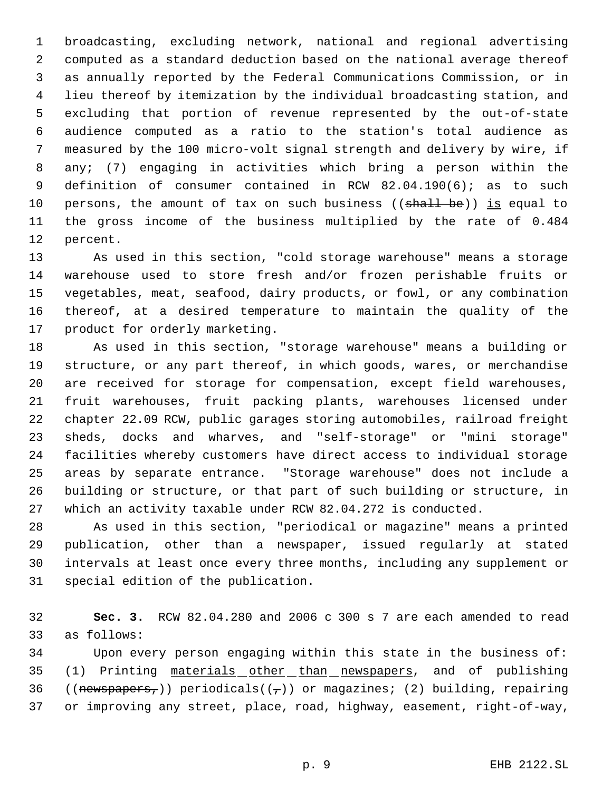broadcasting, excluding network, national and regional advertising computed as a standard deduction based on the national average thereof as annually reported by the Federal Communications Commission, or in lieu thereof by itemization by the individual broadcasting station, and excluding that portion of revenue represented by the out-of-state audience computed as a ratio to the station's total audience as measured by the 100 micro-volt signal strength and delivery by wire, if any; (7) engaging in activities which bring a person within the definition of consumer contained in RCW 82.04.190(6); as to such 10 persons, the amount of tax on such business ((shall be)) is equal to the gross income of the business multiplied by the rate of 0.484 percent.

 As used in this section, "cold storage warehouse" means a storage warehouse used to store fresh and/or frozen perishable fruits or vegetables, meat, seafood, dairy products, or fowl, or any combination thereof, at a desired temperature to maintain the quality of the product for orderly marketing.

 As used in this section, "storage warehouse" means a building or structure, or any part thereof, in which goods, wares, or merchandise are received for storage for compensation, except field warehouses, fruit warehouses, fruit packing plants, warehouses licensed under chapter 22.09 RCW, public garages storing automobiles, railroad freight sheds, docks and wharves, and "self-storage" or "mini storage" facilities whereby customers have direct access to individual storage areas by separate entrance. "Storage warehouse" does not include a building or structure, or that part of such building or structure, in which an activity taxable under RCW 82.04.272 is conducted.

 As used in this section, "periodical or magazine" means a printed publication, other than a newspaper, issued regularly at stated intervals at least once every three months, including any supplement or special edition of the publication.

 **Sec. 3.** RCW 82.04.280 and 2006 c 300 s 7 are each amended to read as follows:

 Upon every person engaging within this state in the business of: (1) Printing materials other than newspapers, and of publishing 36 ((newspapers,)) periodicals( $(\tau)$ ) or magazines; (2) building, repairing or improving any street, place, road, highway, easement, right-of-way,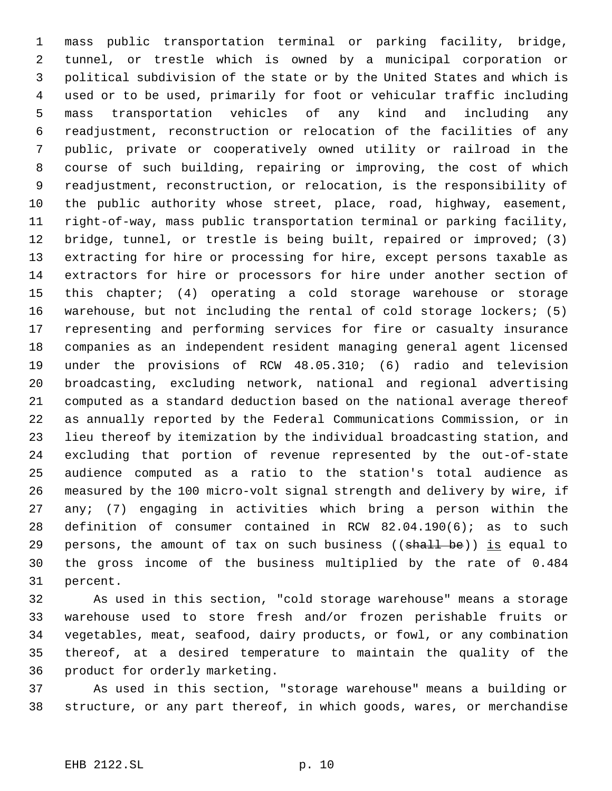mass public transportation terminal or parking facility, bridge, tunnel, or trestle which is owned by a municipal corporation or political subdivision of the state or by the United States and which is used or to be used, primarily for foot or vehicular traffic including mass transportation vehicles of any kind and including any readjustment, reconstruction or relocation of the facilities of any public, private or cooperatively owned utility or railroad in the course of such building, repairing or improving, the cost of which readjustment, reconstruction, or relocation, is the responsibility of the public authority whose street, place, road, highway, easement, right-of-way, mass public transportation terminal or parking facility, bridge, tunnel, or trestle is being built, repaired or improved; (3) extracting for hire or processing for hire, except persons taxable as extractors for hire or processors for hire under another section of this chapter; (4) operating a cold storage warehouse or storage warehouse, but not including the rental of cold storage lockers; (5) representing and performing services for fire or casualty insurance companies as an independent resident managing general agent licensed under the provisions of RCW 48.05.310; (6) radio and television broadcasting, excluding network, national and regional advertising computed as a standard deduction based on the national average thereof as annually reported by the Federal Communications Commission, or in lieu thereof by itemization by the individual broadcasting station, and excluding that portion of revenue represented by the out-of-state audience computed as a ratio to the station's total audience as measured by the 100 micro-volt signal strength and delivery by wire, if any; (7) engaging in activities which bring a person within the definition of consumer contained in RCW 82.04.190(6); as to such 29 persons, the amount of tax on such business ( $(\text{shall be})$ ) is equal to the gross income of the business multiplied by the rate of 0.484 percent.

 As used in this section, "cold storage warehouse" means a storage warehouse used to store fresh and/or frozen perishable fruits or vegetables, meat, seafood, dairy products, or fowl, or any combination thereof, at a desired temperature to maintain the quality of the product for orderly marketing.

 As used in this section, "storage warehouse" means a building or structure, or any part thereof, in which goods, wares, or merchandise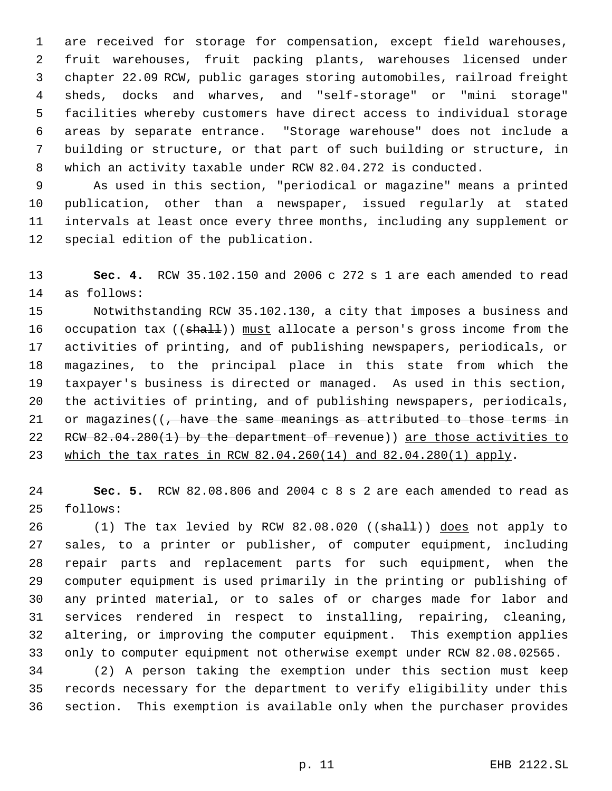are received for storage for compensation, except field warehouses, fruit warehouses, fruit packing plants, warehouses licensed under chapter 22.09 RCW, public garages storing automobiles, railroad freight sheds, docks and wharves, and "self-storage" or "mini storage" facilities whereby customers have direct access to individual storage areas by separate entrance. "Storage warehouse" does not include a building or structure, or that part of such building or structure, in which an activity taxable under RCW 82.04.272 is conducted.

 As used in this section, "periodical or magazine" means a printed publication, other than a newspaper, issued regularly at stated intervals at least once every three months, including any supplement or special edition of the publication.

 **Sec. 4.** RCW 35.102.150 and 2006 c 272 s 1 are each amended to read as follows:

 Notwithstanding RCW 35.102.130, a city that imposes a business and 16 occupation tax ((shall)) must allocate a person's gross income from the activities of printing, and of publishing newspapers, periodicals, or magazines, to the principal place in this state from which the taxpayer's business is directed or managed. As used in this section, the activities of printing, and of publishing newspapers, periodicals, 21 or magazines( $\sqrt{7}$  have the same meanings as attributed to those terms in 22 RCW 82.04.280(1) by the department of revenue)) are those activities to which the tax rates in RCW 82.04.260(14) and 82.04.280(1) apply.

 **Sec. 5.** RCW 82.08.806 and 2004 c 8 s 2 are each amended to read as follows:

26 (1) The tax levied by RCW 82.08.020 ((shall)) does not apply to sales, to a printer or publisher, of computer equipment, including repair parts and replacement parts for such equipment, when the computer equipment is used primarily in the printing or publishing of any printed material, or to sales of or charges made for labor and services rendered in respect to installing, repairing, cleaning, altering, or improving the computer equipment. This exemption applies only to computer equipment not otherwise exempt under RCW 82.08.02565.

 (2) A person taking the exemption under this section must keep records necessary for the department to verify eligibility under this section. This exemption is available only when the purchaser provides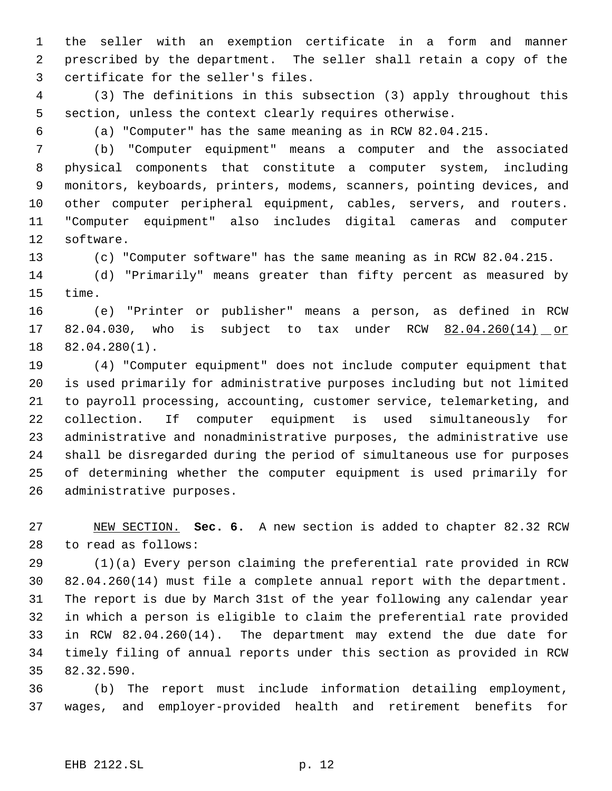the seller with an exemption certificate in a form and manner prescribed by the department. The seller shall retain a copy of the certificate for the seller's files.

 (3) The definitions in this subsection (3) apply throughout this section, unless the context clearly requires otherwise.

(a) "Computer" has the same meaning as in RCW 82.04.215.

 (b) "Computer equipment" means a computer and the associated physical components that constitute a computer system, including monitors, keyboards, printers, modems, scanners, pointing devices, and other computer peripheral equipment, cables, servers, and routers. "Computer equipment" also includes digital cameras and computer software.

(c) "Computer software" has the same meaning as in RCW 82.04.215.

 (d) "Primarily" means greater than fifty percent as measured by time.

 (e) "Printer or publisher" means a person, as defined in RCW 17 82.04.030, who is subject to tax under RCW 82.04.260(14) or 82.04.280(1).

 (4) "Computer equipment" does not include computer equipment that is used primarily for administrative purposes including but not limited to payroll processing, accounting, customer service, telemarketing, and collection. If computer equipment is used simultaneously for administrative and nonadministrative purposes, the administrative use shall be disregarded during the period of simultaneous use for purposes of determining whether the computer equipment is used primarily for administrative purposes.

 NEW SECTION. **Sec. 6.** A new section is added to chapter 82.32 RCW to read as follows:

 (1)(a) Every person claiming the preferential rate provided in RCW 82.04.260(14) must file a complete annual report with the department. The report is due by March 31st of the year following any calendar year in which a person is eligible to claim the preferential rate provided in RCW 82.04.260(14). The department may extend the due date for timely filing of annual reports under this section as provided in RCW 82.32.590.

 (b) The report must include information detailing employment, wages, and employer-provided health and retirement benefits for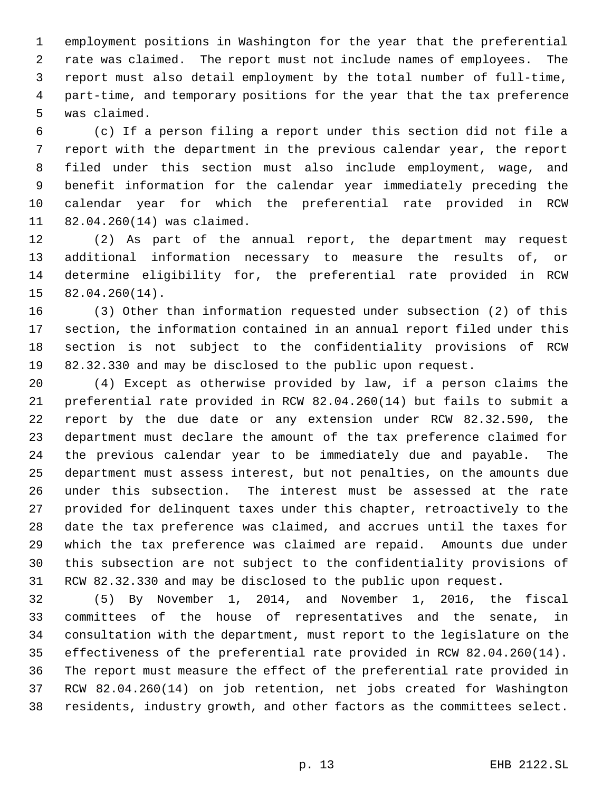employment positions in Washington for the year that the preferential rate was claimed. The report must not include names of employees. The report must also detail employment by the total number of full-time, part-time, and temporary positions for the year that the tax preference was claimed.

 (c) If a person filing a report under this section did not file a report with the department in the previous calendar year, the report filed under this section must also include employment, wage, and benefit information for the calendar year immediately preceding the calendar year for which the preferential rate provided in RCW 82.04.260(14) was claimed.

 (2) As part of the annual report, the department may request additional information necessary to measure the results of, or determine eligibility for, the preferential rate provided in RCW 82.04.260(14).

 (3) Other than information requested under subsection (2) of this section, the information contained in an annual report filed under this section is not subject to the confidentiality provisions of RCW 82.32.330 and may be disclosed to the public upon request.

 (4) Except as otherwise provided by law, if a person claims the preferential rate provided in RCW 82.04.260(14) but fails to submit a report by the due date or any extension under RCW 82.32.590, the department must declare the amount of the tax preference claimed for the previous calendar year to be immediately due and payable. The department must assess interest, but not penalties, on the amounts due under this subsection. The interest must be assessed at the rate provided for delinquent taxes under this chapter, retroactively to the date the tax preference was claimed, and accrues until the taxes for which the tax preference was claimed are repaid. Amounts due under this subsection are not subject to the confidentiality provisions of RCW 82.32.330 and may be disclosed to the public upon request.

 (5) By November 1, 2014, and November 1, 2016, the fiscal committees of the house of representatives and the senate, in consultation with the department, must report to the legislature on the effectiveness of the preferential rate provided in RCW 82.04.260(14). The report must measure the effect of the preferential rate provided in RCW 82.04.260(14) on job retention, net jobs created for Washington residents, industry growth, and other factors as the committees select.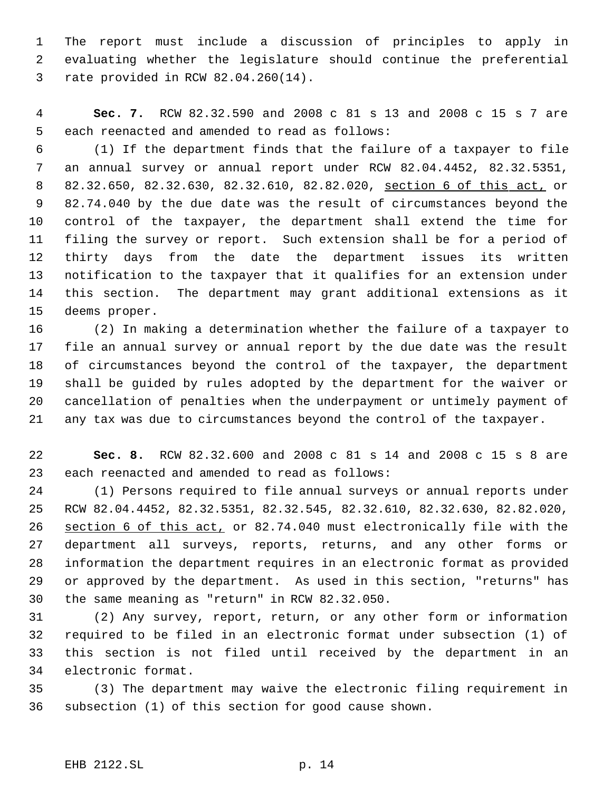The report must include a discussion of principles to apply in evaluating whether the legislature should continue the preferential rate provided in RCW 82.04.260(14).

 **Sec. 7.** RCW 82.32.590 and 2008 c 81 s 13 and 2008 c 15 s 7 are each reenacted and amended to read as follows:

 (1) If the department finds that the failure of a taxpayer to file an annual survey or annual report under RCW 82.04.4452, 82.32.5351, 82.32.650, 82.32.630, 82.32.610, 82.82.020, section 6 of this act, or 82.74.040 by the due date was the result of circumstances beyond the control of the taxpayer, the department shall extend the time for filing the survey or report. Such extension shall be for a period of thirty days from the date the department issues its written notification to the taxpayer that it qualifies for an extension under this section. The department may grant additional extensions as it deems proper.

 (2) In making a determination whether the failure of a taxpayer to file an annual survey or annual report by the due date was the result of circumstances beyond the control of the taxpayer, the department shall be guided by rules adopted by the department for the waiver or cancellation of penalties when the underpayment or untimely payment of any tax was due to circumstances beyond the control of the taxpayer.

 **Sec. 8.** RCW 82.32.600 and 2008 c 81 s 14 and 2008 c 15 s 8 are each reenacted and amended to read as follows:

 (1) Persons required to file annual surveys or annual reports under RCW 82.04.4452, 82.32.5351, 82.32.545, 82.32.610, 82.32.630, 82.82.020, section 6 of this act, or 82.74.040 must electronically file with the department all surveys, reports, returns, and any other forms or information the department requires in an electronic format as provided or approved by the department. As used in this section, "returns" has the same meaning as "return" in RCW 82.32.050.

 (2) Any survey, report, return, or any other form or information required to be filed in an electronic format under subsection (1) of this section is not filed until received by the department in an electronic format.

 (3) The department may waive the electronic filing requirement in subsection (1) of this section for good cause shown.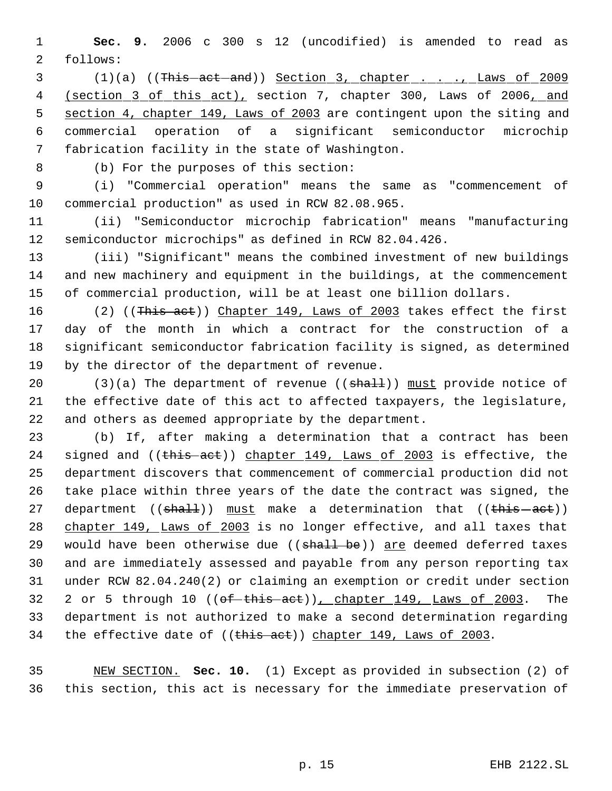**Sec. 9.** 2006 c 300 s 12 (uncodified) is amended to read as follows:

3 (1)(a) ((This -act -and)) Section 3, chapter . . . . . Laws of 2009 4 (section 3 of this act), section 7, chapter 300, Laws of 2006, and section 4, chapter 149, Laws of 2003 are contingent upon the siting and commercial operation of a significant semiconductor microchip fabrication facility in the state of Washington.

(b) For the purposes of this section:

 (i) "Commercial operation" means the same as "commencement of commercial production" as used in RCW 82.08.965.

 (ii) "Semiconductor microchip fabrication" means "manufacturing semiconductor microchips" as defined in RCW 82.04.426.

 (iii) "Significant" means the combined investment of new buildings and new machinery and equipment in the buildings, at the commencement of commercial production, will be at least one billion dollars.

16 (2) ((This act)) Chapter 149, Laws of 2003 takes effect the first day of the month in which a contract for the construction of a significant semiconductor fabrication facility is signed, as determined by the director of the department of revenue.

20 (3)(a) The department of revenue (( $\frac{1}{2}$ ) must provide notice of the effective date of this act to affected taxpayers, the legislature, and others as deemed appropriate by the department.

 (b) If, after making a determination that a contract has been 24 signed and ((this act)) chapter 149, Laws of 2003 is effective, the department discovers that commencement of commercial production did not take place within three years of the date the contract was signed, the 27 department (( $\text{shalt}$ )) must make a determination that (( $\text{this}-\text{act}$ )) 28 chapter 149, Laws of 2003 is no longer effective, and all taxes that 29 would have been otherwise due ((shall be)) are deemed deferred taxes and are immediately assessed and payable from any person reporting tax under RCW 82.04.240(2) or claiming an exemption or credit under section 32 2 or 5 through 10 ((of this act)), chapter 149, Laws of 2003. The department is not authorized to make a second determination regarding 34 the effective date of ((this aet)) chapter 149, Laws of 2003.

 NEW SECTION. **Sec. 10.** (1) Except as provided in subsection (2) of this section, this act is necessary for the immediate preservation of